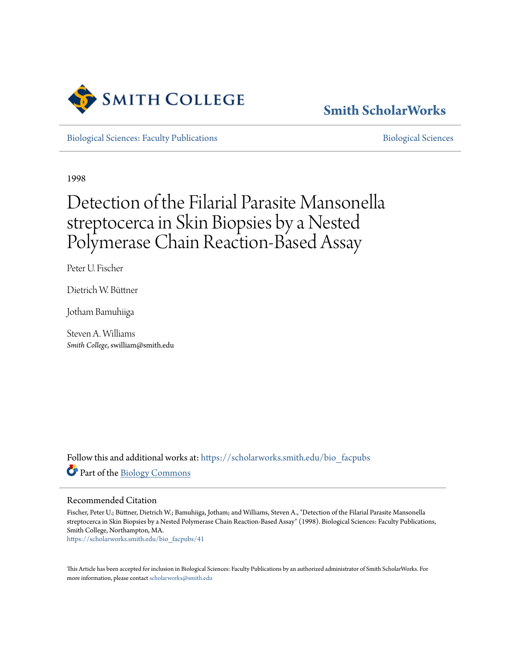

# **[Smith ScholarWorks](https://scholarworks.smith.edu?utm_source=scholarworks.smith.edu%2Fbio_facpubs%2F41&utm_medium=PDF&utm_campaign=PDFCoverPages)**

[Biological Sciences: Faculty Publications](https://scholarworks.smith.edu/bio_facpubs?utm_source=scholarworks.smith.edu%2Fbio_facpubs%2F41&utm_medium=PDF&utm_campaign=PDFCoverPages) and [Biological Sciences](https://scholarworks.smith.edu/bio?utm_source=scholarworks.smith.edu%2Fbio_facpubs%2F41&utm_medium=PDF&utm_campaign=PDFCoverPages) Biological Sciences

1998

# Detection of the Filarial Parasite Mansonella streptocerca in Skin Biopsies by a Nested Polymerase Chain Reaction-Based Assay

Peter U. Fischer

Dietrich W. Büttner

Jotham Bamuhiiga

Steven A. Williams *Smith College*, swilliam@smith.edu

Follow this and additional works at: [https://scholarworks.smith.edu/bio\\_facpubs](https://scholarworks.smith.edu/bio_facpubs?utm_source=scholarworks.smith.edu%2Fbio_facpubs%2F41&utm_medium=PDF&utm_campaign=PDFCoverPages) Part of the [Biology Commons](http://network.bepress.com/hgg/discipline/41?utm_source=scholarworks.smith.edu%2Fbio_facpubs%2F41&utm_medium=PDF&utm_campaign=PDFCoverPages)

### Recommended Citation

Fischer, Peter U.; Büttner, Dietrich W.; Bamuhiiga, Jotham; and Williams, Steven A., "Detection of the Filarial Parasite Mansonella streptocerca in Skin Biopsies by a Nested Polymerase Chain Reaction-Based Assay" (1998). Biological Sciences: Faculty Publications, Smith College, Northampton, MA.

[https://scholarworks.smith.edu/bio\\_facpubs/41](https://scholarworks.smith.edu/bio_facpubs/41?utm_source=scholarworks.smith.edu%2Fbio_facpubs%2F41&utm_medium=PDF&utm_campaign=PDFCoverPages)

This Article has been accepted for inclusion in Biological Sciences: Faculty Publications by an authorized administrator of Smith ScholarWorks. For more information, please contact [scholarworks@smith.edu](mailto:scholarworks@smith.edu)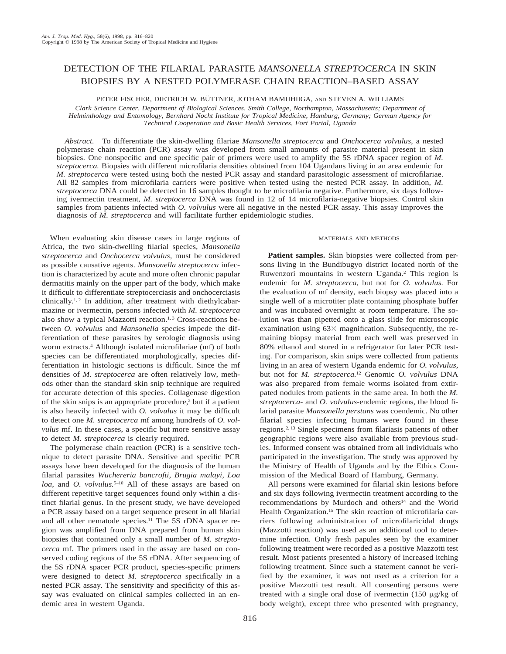## DETECTION OF THE FILARIAL PARASITE *MANSONELLA STREPTOCERCA* IN SKIN BIOPSIES BY A NESTED POLYMERASE CHAIN REACTION–BASED ASSAY

PETER FISCHER, DIETRICH W. BÜTTNER, JOTHAM BAMUHIIGA, AND STEVEN A. WILLIAMS

*Clark Science Center, Department of Biological Sciences, Smith College, Northampton, Massachusetts; Department of Helminthology and Entomology, Bernhard Nocht Institute for Tropical Medicine, Hamburg, Germany; German Agency for Technical Cooperation and Basic Health Services, Fort Portal, Uganda*

*Abstract.* To differentiate the skin-dwelling filariae *Mansonella streptocerca* and *Onchocerca volvulus,* a nested polymerase chain reaction (PCR) assay was developed from small amounts of parasite material present in skin biopsies. One nonspecific and one specific pair of primers were used to amplify the 5S rDNA spacer region of *M. streptocerca.* Biopsies with different microfilaria densities obtained from 104 Ugandans living in an area endemic for *M. streptocerca* were tested using both the nested PCR assay and standard parasitologic assessment of microfilariae. All 82 samples from microfilaria carriers were positive when tested using the nested PCR assay. In addition, *M. streptocerca* DNA could be detected in 16 samples thought to be microfilaria negative. Furthermore, six days following ivermectin treatment, *M. streptocerca* DNA was found in 12 of 14 microfilaria-negative biopsies. Control skin samples from patients infected with *O. volvulus* were all negative in the nested PCR assay. This assay improves the diagnosis of *M. streptocerca* and will facilitate further epidemiologic studies.

When evaluating skin disease cases in large regions of Africa, the two skin-dwelling filarial species, *Mansonella streptocerca* and *Onchocerca volvulus,* must be considered as possible causative agents. *Mansonella streptocerca* infection is characterized by acute and more often chronic papular dermatitis mainly on the upper part of the body, which make it difficult to differentiate streptocerciasis and onchocerciasis clinically.<sup>1, 2</sup> In addition, after treatment with diethylcabarmazine or ivermectin, persons infected with *M. streptocerca* also show a typical Mazzotti reaction.<sup>1, 3</sup> Cross-reactions between *O. volvulus* and *Mansonella* species impede the differentiation of these parasites by serologic diagnosis using worm extracts.<sup>4</sup> Although isolated microfilariae (mf) of both species can be differentiated morphologically, species differentiation in histologic sections is difficult. Since the mf densities of *M. streptocerca* are often relatively low, methods other than the standard skin snip technique are required for accurate detection of this species. Collagenase digestion of the skin snips is an appropriate procedure,2 but if a patient is also heavily infected with *O. volvulus* it may be difficult to detect one *M. streptocerca* mf among hundreds of *O. volvulus* mf. In these cases, a specific but more sensitive assay to detect *M. streptocerca* is clearly required.

The polymerase chain reaction (PCR) is a sensitive technique to detect parasite DNA. Sensitive and specific PCR assays have been developed for the diagnosis of the human filarial parasites *Wuchereria bancrofti, Brugia malayi, Loa* loa, and *O. volvulus*.<sup>5-10</sup> All of these assays are based on different repetitive target sequences found only within a distinct filarial genus. In the present study, we have developed a PCR assay based on a target sequence present in all filarial and all other nematode species.<sup>11</sup> The 5S rDNA spacer region was amplified from DNA prepared from human skin biopsies that contained only a small number of *M. streptocerca* mf. The primers used in the assay are based on conserved coding regions of the 5S rDNA. After sequencing of the 5S rDNA spacer PCR product, species-specific primers were designed to detect *M. streptocerca* specifically in a nested PCR assay. The sensitivity and specificity of this assay was evaluated on clinical samples collected in an endemic area in western Uganda.

#### MATERIALS AND METHODS

**Patient samples.** Skin biopsies were collected from persons living in the Bundibugyo district located north of the Ruwenzori mountains in western Uganda.2 This region is endemic for *M. streptocerca,* but not for *O. volvulus.* For the evaluation of mf density, each biopsy was placed into a single well of a microtiter plate containing phosphate buffer and was incubated overnight at room temperature. The solution was than pipetted onto a glass slide for microscopic examination using  $63\times$  magnification. Subsequently, the remaining biopsy material from each well was preserved in 80% ethanol and stored in a refrigerator for later PCR testing. For comparison, skin snips were collected from patients living in an area of western Uganda endemic for *O. volvulus,* but not for *M. streptocerca.*<sup>12</sup> Genomic *O. volvulus* DNA was also prepared from female worms isolated from extirpated nodules from patients in the same area. In both the *M. streptocerca*- and *O. volvulus*-endemic regions, the blood filarial parasite *Mansonella perstans* was coendemic. No other filarial species infecting humans were found in these regions.2, 13 Single specimens from filariasis patients of other geographic regions were also available from previous studies. Informed consent was obtained from all individuals who participated in the investigation. The study was approved by the Ministry of Health of Uganda and by the Ethics Commission of the Medical Board of Hamburg, Germany.

All persons were examined for filarial skin lesions before and six days following ivermectin treatment according to the recommendations by Murdoch and others<sup>14</sup> and the World Health Organization.<sup>15</sup> The skin reaction of microfilaria carriers following administration of microfilaricidal drugs (Mazzotti reaction) was used as an additional tool to determine infection. Only fresh papules seen by the examiner following treatment were recorded as a positive Mazzotti test result. Most patients presented a history of increased itching following treatment. Since such a statement cannot be verified by the examiner, it was not used as a criterion for a positive Mazzotti test result. All consenting persons were treated with a single oral dose of ivermectin (150  $\mu$ g/kg of body weight), except three who presented with pregnancy,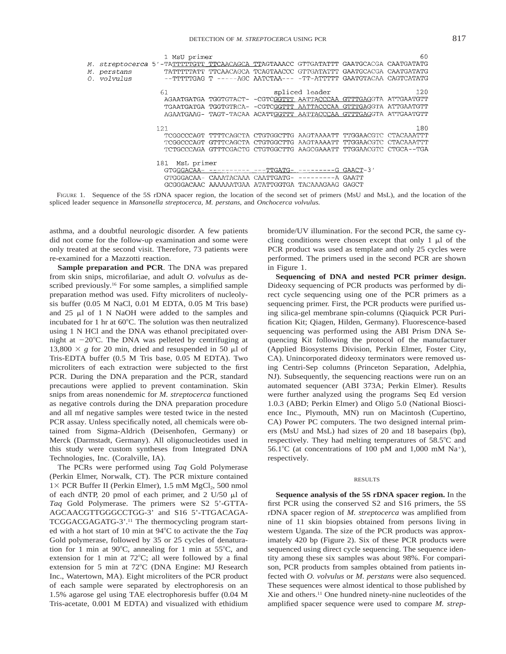|                    | 1 MsU primer                                                                         |                                                                   | 60  |
|--------------------|--------------------------------------------------------------------------------------|-------------------------------------------------------------------|-----|
|                    | M. streptocerca 5'-TATTTTTGTT_TTCAACAGCA_TTAGTAAACC_GTTGATATTT_GAATGCACGA_CAATGATATG |                                                                   |     |
| <i>M.</i> perstans | TATTTTTATT TTCAACAGCA TCAGTAACCC GTTGATATTT GAATGCACGA CAATGATATG                    |                                                                   |     |
| 0. volvulus        |                                                                                      | --TTTTTGAG T -----AGC AATCTAA--- -TT-ATTTTT GAATGTACAA CAGTCATATG |     |
|                    |                                                                                      |                                                                   |     |
| 61                 |                                                                                      | spliced leader                                                    | 120 |
|                    |                                                                                      | AGAATGATGA TGGTGTACT- -CGTCGGTTT AATTACCCAA GTTTGAGGTA ATTGAATGTT |     |
|                    |                                                                                      | TGAATGATGA TGGTGTRCA- -CGTCGGTTT AATTACCCAA GTTTGAGGTA ATTGAATGTT |     |
|                    |                                                                                      | AGAATGAAG- TAGT-TACAA ACATTGGTTT AATTACCCAA GTTTGAGGTA ATTGAATGTT |     |
|                    |                                                                                      |                                                                   |     |
|                    | 121                                                                                  |                                                                   | 180 |
|                    |                                                                                      | TCGGCCCAGT TTTTCAGCTA CTGTGGCTTG AAGTAAAATT TTGGAACGTC CTACAAATTT |     |
|                    |                                                                                      | TCGGCCCAGT GTTTCAGCTA CTGTGGCTTG AAGTAAAATT TTGGAACGTC CTACAAATTT |     |
|                    |                                                                                      | TCTGCCCAGA GTTTCGACTG CTGTGGCTTG AAGCGAAATT TTGGAACGTC CTGCA--TGA |     |
|                    |                                                                                      |                                                                   |     |
|                    | 181 MsL primer                                                                       |                                                                   |     |
|                    |                                                                                      |                                                                   |     |
|                    |                                                                                      | GTGGGACAA- CAAATACAAA CAATTGATG- ---------A GAATT                 |     |
|                    |                                                                                      | GCGGGACAAC AAAAAATGAA ATATTGGTGA TACAAAGAAG GAGCT                 |     |
|                    |                                                                                      |                                                                   |     |

FIGURE 1. Sequence of the 5S rDNA spacer region, the location of the second set of primers (MsU and MsL), and the location of the spliced leader sequence in *Mansonella streptocerca, M. perstans,* and *Onchocerca volvulus.*

asthma, and a doubtful neurologic disorder. A few patients did not come for the follow-up examination and some were only treated at the second visit. Therefore, 73 patients were re-examined for a Mazzotti reaction.

**Sample preparation and PCR**. The DNA was prepared from skin snips, microfilariae, and adult *O. volvulus* as described previously.<sup>16</sup> For some samples, a simplified sample preparation method was used. Fifty microliters of nucleolysis buffer (0.05 M NaCl, 0.01 M EDTA, 0.05 M Tris base) and  $25 \mu$ l of 1 N NaOH were added to the samples and incubated for 1 hr at  $60^{\circ}$ C. The solution was then neutralized using 1 N HCl and the DNA was ethanol precipitated overnight at  $-20^{\circ}$ C. The DNA was pelleted by centrifuging at 13,800  $\times$  *g* for 20 min, dried and resuspended in 50  $\mu$ l of Tris-EDTA buffer (0.5 M Tris base, 0.05 M EDTA). Two microliters of each extraction were subjected to the first PCR. During the DNA preparation and the PCR, standard precautions were applied to prevent contamination. Skin snips from areas nonendemic for *M. streptocerca* functioned as negative controls during the DNA preparation procedure and all mf negative samples were tested twice in the nested PCR assay. Unless specifically noted, all chemicals were obtained from Sigma-Aldrich (Deisenhofen, Germany) or Merck (Darmstadt, Germany). All oligonucleotides used in this study were custom syntheses from Integrated DNA Technologies, Inc. (Coralville, IA).

The PCRs were performed using *Taq* Gold Polymerase (Perkin Elmer, Norwalk, CT). The PCR mixture contained  $1\times$  PCR Buffer II (Perkin Elmer), 1.5 mM MgCl<sub>2</sub>, 500 nmol of each dNTP, 20 pmol of each primer, and 2 U/50  $\mu$ l of *Taq* Gold Polymerase. The primers were S2 5'-GTTA-AGCAACGTTGGGCCTGG-3' and S16 5'-TTGACAGA-TCGGACGAGATG-3'.11 The thermocycling program started with a hot start of 10 min at 94°C to activate the the *Taq* Gold polymerase, followed by 35 or 25 cycles of denaturation for 1 min at 90 $^{\circ}$ C, annealing for 1 min at 55 $^{\circ}$ C, and extension for 1 min at  $72^{\circ}$ C; all were followed by a final extension for 5 min at 72°C (DNA Engine: MJ Research Inc., Watertown, MA). Eight microliters of the PCR product of each sample were separated by electrophoresis on an 1.5% agarose gel using TAE electrophoresis buffer (0.04 M Tris-acetate, 0.001 M EDTA) and visualized with ethidium bromide/UV illumination. For the second PCR, the same cycling conditions were chosen except that only  $1 \mu l$  of the PCR product was used as template and only 25 cycles were performed. The primers used in the second PCR are shown in Figure 1.

**Sequencing of DNA and nested PCR primer design.** Dideoxy sequencing of PCR products was performed by direct cycle sequencing using one of the PCR primers as a sequencing primer. First, the PCR products were purified using silica-gel membrane spin-columns (Qiaquick PCR Purification Kit; Qiagen, Hilden, Germany). Fluorescence-based sequencing was performed using the ABI Prism DNA Sequencing Kit following the protocol of the manufacturer (Applied Biosystems Division, Perkin Elmer, Foster City, CA). Unincorporated dideoxy terminators were removed using Centri-Sep columns (Princeton Separation, Adelphia, NJ). Subsequently, the sequencing reactions were run on an automated sequencer (ABI 373A; Perkin Elmer). Results were further analyzed using the programs Seq Ed version 1.0.3 (ABD; Perkin Elmer) and Oligo 5.0 (National Bioscience Inc., Plymouth, MN) run on Macintosh (Cupertino, CA) Power PC computers. The two designed internal primers (MsU and MsL) had sizes of 20 and 18 basepairs (bp), respectively. They had melting temperatures of  $58.5^{\circ}$ C and 56.1°C (at concentrations of 100 pM and 1,000 mM  $\mathrm{Na}^+$ ), respectively.

#### RESULTS

**Sequence analysis of the 5S rDNA spacer region.** In the first PCR using the conserved S2 and S16 primers, the 5S rDNA spacer region of *M. streptocerca* was amplified from nine of 11 skin biopsies obtained from persons living in western Uganda. The size of the PCR products was approximately 420 bp (Figure 2). Six of these PCR products were sequenced using direct cycle sequencing. The sequence identity among these six samples was about 98%. For comparison, PCR products from samples obtained from patients infected with *O. volvulus* or *M. perstans* were also sequenced. These sequences were almost identical to those published by Xie and others.11 One hundred ninety-nine nucleotides of the amplified spacer sequence were used to compare *M. strep-*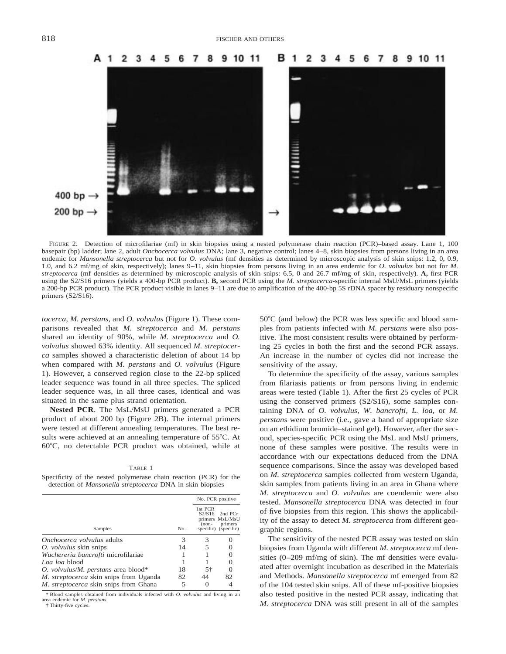

FIGURE 2. Detection of microfilariae (mf) in skin biopsies using a nested polymerase chain reaction (PCR)–based assay. Lane 1, 100 basepair (bp) ladder; lane 2, adult *Onchocerca volvulus* DNA; lane 3, negative control; lanes 4–8, skin biopsies from persons living in an area endemic for *Mansonella streptocerca* but not for *O. volvulus* (mf densities as determined by microscopic analysis of skin snips: 1.2, 0, 0.9, 1.0, and 6.2 mf/mg of skin, respectively); lanes 9–11, skin biopsies from persons living in an area endemic for *O. volvulus* but not for *M. streptocerca* (mf densities as determined by microscopic analysis of skin snips: 6.5, 0 and 26.7 mf/mg of skin, respectively). **A,** first PCR using the S2/S16 primers (yields a 400-bp PCR product). **B,** second PCR using the *M. streptocerca*-specific internal MsU/MsL primers (yields a 200-bp PCR product). The PCR product visible in lanes 9–11 are due to amplification of the 400-bp 5S rDNA spacer by residuary nonspecific primers (S2/S16).

*tocerca, M. perstans,* and *O. volvulus* (Figure 1). These comparisons revealed that *M. streptocerca* and *M. perstans* shared an identity of 90%, while *M. streptocerca* and *O. volvulus* showed 63% identity. All sequenced *M. streptocerca* samples showed a characteristic deletion of about 14 bp when compared with *M. perstans* and *O. volvulus* (Figure 1). However, a conserved region close to the 22-bp spliced leader sequence was found in all three species. The spliced leader sequence was, in all three cases, identical and was situated in the same plus strand orientation.

**Nested PCR**. The MsL/MsU primers generated a PCR product of about 200 bp (Figure 2B). The internal primers were tested at different annealing temperatures. The best results were achieved at an annealing temperature of  $55^{\circ}$ C. At  $60^{\circ}$ C, no detectable PCR product was obtained, while at

#### TABLE 1

Specificity of the nested polymerase chain reaction (PCR) for the detection of *Mansonella streptocerca* DNA in skin biopsies

|                                             |     | No. PCR positive             |                                                               |
|---------------------------------------------|-----|------------------------------|---------------------------------------------------------------|
| Samples                                     | No. | 1st PCR<br>S2/S16<br>$(non-$ | 2nd PCr<br>primers MsL/MsU<br>primers<br>specific) (specific) |
| <i>Onchocerca volvulus</i> adults           | 3   | 3                            |                                                               |
| <i>O. volvulus</i> skin snips               | 14  | 5                            |                                                               |
| <i>Wuchereria bancrofti</i> microfilariae   |     |                              |                                                               |
| Loa loa blood                               |     |                              |                                                               |
| O. volvulus/ <i>M.</i> perstans area blood* | 18  | 5†                           |                                                               |
| M. streptocerca skin snips from Uganda      | 82  | 44                           | 82                                                            |
| M. streptocerca skin snips from Ghana       |     |                              |                                                               |

\* Blood samples obtained from individuals infected with *O. volvulus* and living in an area endemic for *M. perstans.*

† Thirty-five cycles.

 $50^{\circ}$ C (and below) the PCR was less specific and blood samples from patients infected with *M. perstans* were also positive. The most consistent results were obtained by performing 25 cycles in both the first and the second PCR assays. An increase in the number of cycles did not increase the sensitivity of the assay.

To determine the specificity of the assay, various samples from filariasis patients or from persons living in endemic areas were tested (Table 1). After the first 25 cycles of PCR using the conserved primers (S2/S16), some samples containing DNA of *O. volvulus, W. bancrofti, L. loa,* or *M. perstans* were positive (i.e., gave a band of appropriate size on an ethidium bromide–stained gel). However, after the second, species-specific PCR using the MsL and MsU primers, none of these samples were positive. The results were in accordance with our expectations deduced from the DNA sequence comparisons. Since the assay was developed based on *M. streptocerca* samples collected from western Uganda, skin samples from patients living in an area in Ghana where *M. streptocerca* and *O. volvulus* are coendemic were also tested. *Mansonella streptocerca* DNA was detected in four of five biopsies from this region. This shows the applicability of the assay to detect *M. streptocerca* from different geographic regions.

The sensitivity of the nested PCR assay was tested on skin biopsies from Uganda with different *M. streptocerca* mf densities (0–209 mf/mg of skin). The mf densities were evaluated after overnight incubation as described in the Materials and Methods. *Mansonella streptocerca* mf emerged from 82 of the 104 tested skin snips. All of these mf-positive biopsies also tested positive in the nested PCR assay, indicating that *M. streptocerca* DNA was still present in all of the samples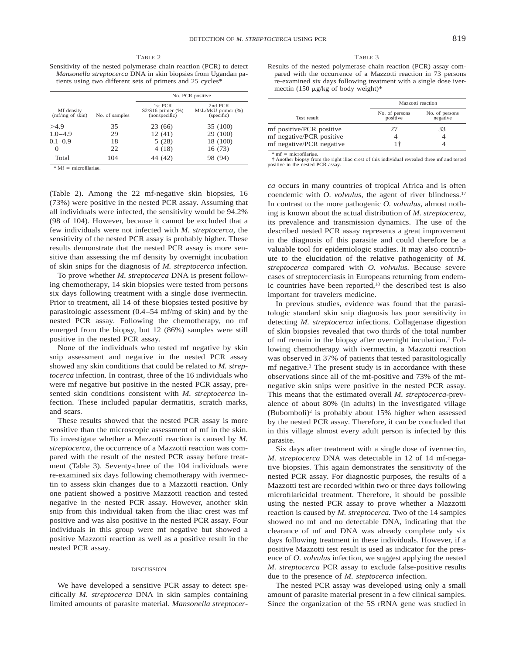TABLE 2

Sensitivity of the nested polymerase chain reaction (PCR) to detect *Mansonella streptocerca* DNA in skin biopsies from Ugandan patients using two different sets of primers and 25 cycles\*

|                                          | No. of samples | No. PCR positive                                   |                                             |
|------------------------------------------|----------------|----------------------------------------------------|---------------------------------------------|
| Mf density<br>$(mf/mg \text{ of } skin)$ |                | 1st PCR<br>$S2/S16$ primer $(\%)$<br>(nonspecific) | 2nd PCR<br>MsL/MsU primer (%)<br>(specific) |
| >4.9                                     | 35             | 23 (66)                                            | 35 (100)                                    |
| $1.0 - 4.9$                              | 29             | 12(41)                                             | 29 (100)                                    |
| $0.1 - 0.9$                              | 18             | 5(28)                                              | 18 (100)                                    |
| $\Omega$                                 | 22             | 4(18)                                              | 16 (73)                                     |
| Total                                    | 104            | 44 (42)                                            | 98 (94)                                     |

 $*$  Mf = microfilariae.

(Table 2). Among the 22 mf-negative skin biopsies, 16 (73%) were positive in the nested PCR assay. Assuming that all individuals were infected, the sensitivity would be 94.2% (98 of 104). However, because it cannot be excluded that a few individuals were not infected with *M. streptocerca,* the sensitivity of the nested PCR assay is probably higher. These results demonstrate that the nested PCR assay is more sensitive than assessing the mf density by overnight incubation of skin snips for the diagnosis of *M. streptocerca* infection.

To prove whether *M. streptocerca* DNA is present following chemotherapy, 14 skin biopsies were tested from persons six days following treatment with a single dose ivermectin. Prior to treatment, all 14 of these biopsies tested positive by parasitologic assessment (0.4–54 mf/mg of skin) and by the nested PCR assay. Following the chemotherapy, no mf emerged from the biopsy, but 12 (86%) samples were still positive in the nested PCR assay.

None of the individuals who tested mf negative by skin snip assessment and negative in the nested PCR assay showed any skin conditions that could be related to *M. streptocerca* infection. In contrast, three of the 16 individuals who were mf negative but positive in the nested PCR assay, presented skin conditions consistent with *M. streptocerca* infection. These included papular dermatitis, scratch marks, and scars.

These results showed that the nested PCR assay is more sensitive than the microscopic assessment of mf in the skin. To investigate whether a Mazzotti reaction is caused by *M. streptocerca,* the occurrence of a Mazzotti reaction was compared with the result of the nested PCR assay before treatment (Table 3). Seventy-three of the 104 individuals were re-examined six days following chemotherapy with ivermectin to assess skin changes due to a Mazzotti reaction. Only one patient showed a positive Mazzotti reaction and tested negative in the nested PCR assay. However, another skin snip from this individual taken from the iliac crest was mf positive and was also positive in the nested PCR assay. Four individuals in this group were mf negative but showed a positive Mazzotti reaction as well as a positive result in the nested PCR assay.

#### DISCUSSION

We have developed a sensitive PCR assay to detect specifically *M. streptocerca* DNA in skin samples containing limited amounts of parasite material. *Mansonella streptocer-*

TABLE 3

Results of the nested polymerase chain reaction (PCR) assay compared with the occurrence of a Mazzotti reaction in 73 persons re-examined six days following treatment with a single dose ivermectin (150  $\mu$ g/kg of body weight)\*

|                          | Mazzotti reaction          |                            |
|--------------------------|----------------------------|----------------------------|
| Test result              | No. of persons<br>positive | No. of persons<br>negative |
| mf positive/PCR positive | 27                         | 33                         |
| mf negative/PCR positive |                            |                            |
| mf negative/PCR negative | 1÷                         |                            |

 $*$  mf  $=$  microfilariae.

† Another biopsy from the right iliac crest of this individual revealed three mf and tested positive in the nested PCR assay.

*ca* occurs in many countries of tropical Africa and is often coendemic with *O. volvulus*, the agent of river blindness.<sup>17</sup> In contrast to the more pathogenic *O. volvulus,* almost nothing is known about the actual distribution of *M. streptocerca,* its prevalence and transmission dynamics. The use of the described nested PCR assay represents a great improvement in the diagnosis of this parasite and could therefore be a valuable tool for epidemiologic studies. It may also contribute to the elucidation of the relative pathogenicity of *M. streptocerca* compared with *O. volvulus.* Because severe cases of streptocerciasis in Europeans returning from endemic countries have been reported, $18$  the described test is also important for travelers medicine.

In previous studies, evidence was found that the parasitologic standard skin snip diagnosis has poor sensitivity in detecting *M. streptocerca* infections. Collagenase digestion of skin biopsies revealed that two thirds of the total number of mf remain in the biopsy after overnight incubation.2 Following chemotherapy with ivermectin, a Mazzotti reaction was observed in 37% of patients that tested parasitologically mf negative. $3$  The present study is in accordance with these observations since all of the mf-positive and 73% of the mfnegative skin snips were positive in the nested PCR assay. This means that the estimated overall *M. streptocerca-*prevalence of about 80% (in adults) in the investigated village  $(Bubomboli)<sup>2</sup>$  is probably about 15% higher when assessed by the nested PCR assay. Therefore, it can be concluded that in this village almost every adult person is infected by this parasite.

Six days after treatment with a single dose of ivermectin, *M. streptocerca* DNA was detectable in 12 of 14 mf-negative biopsies. This again demonstrates the sensitivity of the nested PCR assay. For diagnostic purposes, the results of a Mazzotti test are recorded within two or three days following microfilaricidal treatment. Therefore, it should be possible using the nested PCR assay to prove whether a Mazzotti reaction is caused by *M. streptocerca.* Two of the 14 samples showed no mf and no detectable DNA, indicating that the clearance of mf and DNA was already complete only six days following treatment in these individuals. However, if a positive Mazzotti test result is used as indicator for the presence of *O. volvulus* infection, we suggest applying the nested *M. streptocerca* PCR assay to exclude false-positive results due to the presence of *M. steptocerca* infection.

The nested PCR assay was developed using only a small amount of parasite material present in a few clinical samples. Since the organization of the 5S rRNA gene was studied in